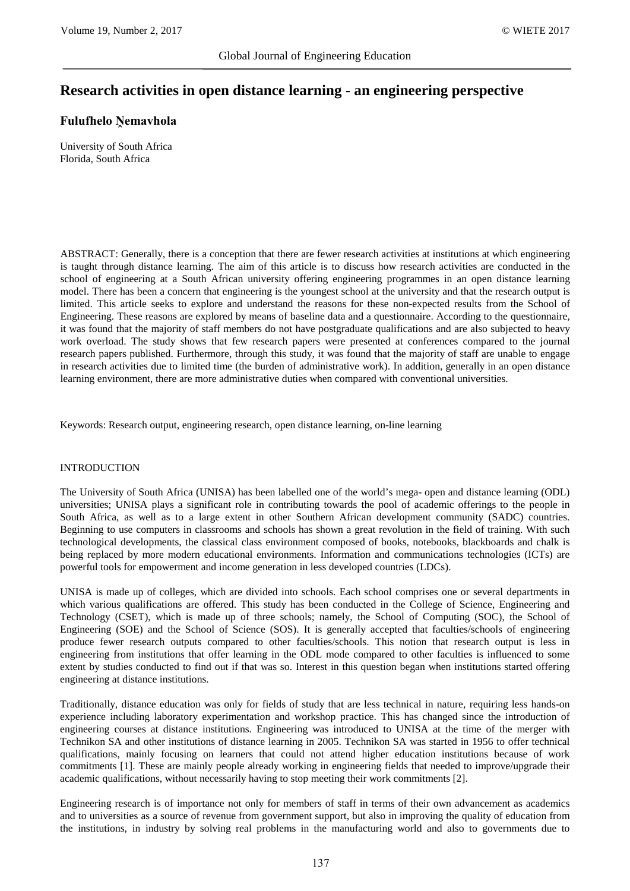# **Research activities in open distance learning - an engineering perspective**

## **Fulufhelo Ṋemavhola**

University of South Africa Florida, South Africa

ABSTRACT: Generally, there is a conception that there are fewer research activities at institutions at which engineering is taught through distance learning. The aim of this article is to discuss how research activities are conducted in the school of engineering at a South African university offering engineering programmes in an open distance learning model. There has been a concern that engineering is the youngest school at the university and that the research output is limited. This article seeks to explore and understand the reasons for these non-expected results from the School of Engineering. These reasons are explored by means of baseline data and a questionnaire. According to the questionnaire, it was found that the majority of staff members do not have postgraduate qualifications and are also subjected to heavy work overload. The study shows that few research papers were presented at conferences compared to the journal research papers published. Furthermore, through this study, it was found that the majority of staff are unable to engage in research activities due to limited time (the burden of administrative work). In addition, generally in an open distance learning environment, there are more administrative duties when compared with conventional universities.

Keywords: Research output, engineering research, open distance learning, on-line learning

#### INTRODUCTION

The University of South Africa (UNISA) has been labelled one of the world's mega- open and distance learning (ODL) universities; UNISA plays a significant role in contributing towards the pool of academic offerings to the people in South Africa, as well as to a large extent in other Southern African development community (SADC) countries. Beginning to use computers in classrooms and schools has shown a great revolution in the field of training. With such technological developments, the classical class environment composed of books, notebooks, blackboards and chalk is being replaced by more modern educational environments. Information and communications technologies (ICTs) are powerful tools for empowerment and income generation in less developed countries (LDCs).

UNISA is made up of colleges, which are divided into schools. Each school comprises one or several departments in which various qualifications are offered. This study has been conducted in the College of Science, Engineering and Technology (CSET), which is made up of three schools; namely, the School of Computing (SOC), the School of Engineering (SOE) and the School of Science (SOS). It is generally accepted that faculties/schools of engineering produce fewer research outputs compared to other faculties/schools. This notion that research output is less in engineering from institutions that offer learning in the ODL mode compared to other faculties is influenced to some extent by studies conducted to find out if that was so. Interest in this question began when institutions started offering engineering at distance institutions.

Traditionally, distance education was only for fields of study that are less technical in nature, requiring less hands-on experience including laboratory experimentation and workshop practice. This has changed since the introduction of engineering courses at distance institutions. Engineering was introduced to UNISA at the time of the merger with Technikon SA and other institutions of distance learning in 2005. Technikon SA was started in 1956 to offer technical qualifications, mainly focusing on learners that could not attend higher education institutions because of work commitments [1]. These are mainly people already working in engineering fields that needed to improve/upgrade their academic qualifications, without necessarily having to stop meeting their work commitments [2].

Engineering research is of importance not only for members of staff in terms of their own advancement as academics and to universities as a source of revenue from government support, but also in improving the quality of education from the institutions, in industry by solving real problems in the manufacturing world and also to governments due to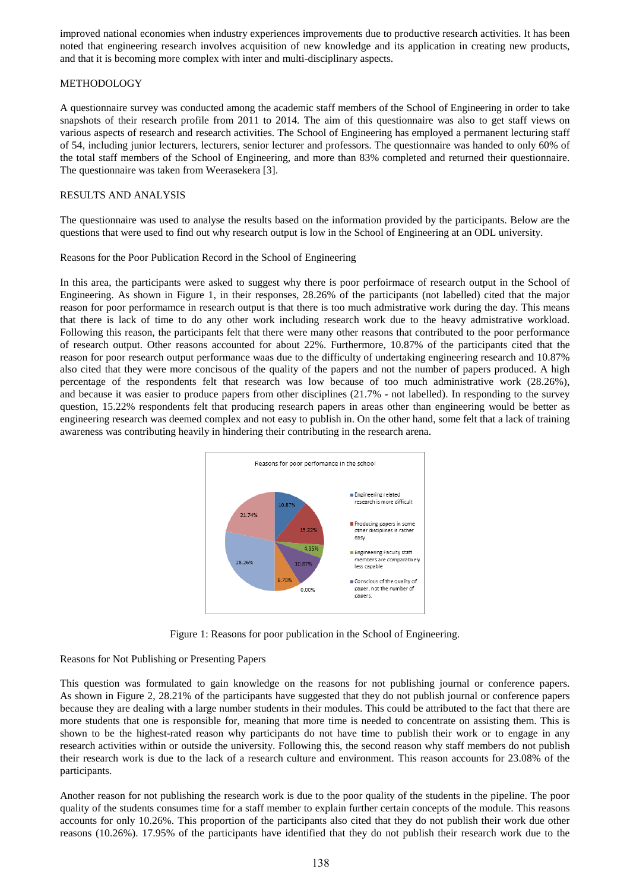improved national economies when industry experiences improvements due to productive research activities. It has been noted that engineering research involves acquisition of new knowledge and its application in creating new products, and that it is becoming more complex with inter and multi-disciplinary aspects.

## METHODOLOGY

A questionnaire survey was conducted among the academic staff members of the School of Engineering in order to take snapshots of their research profile from 2011 to 2014. The aim of this questionnaire was also to get staff views on various aspects of research and research activities. The School of Engineering has employed a permanent lecturing staff of 54, including junior lecturers, lecturers, senior lecturer and professors. The questionnaire was handed to only 60% of the total staff members of the School of Engineering, and more than 83% completed and returned their questionnaire. The questionnaire was taken from Weerasekera [3].

## RESULTS AND ANALYSIS

The questionnaire was used to analyse the results based on the information provided by the participants. Below are the questions that were used to find out why research output is low in the School of Engineering at an ODL university.

#### Reasons for the Poor Publication Record in the School of Engineering

In this area, the participants were asked to suggest why there is poor perfoirmace of research output in the School of Engineering. As shown in Figure 1, in their responses, 28.26% of the participants (not labelled) cited that the major reason for poor performamce in research output is that there is too much admistrative work during the day. This means that there is lack of time to do any other work including research work due to the heavy admistrative workload. Following this reason, the participants felt that there were many other reasons that contributed to the poor performance of research output. Other reasons accounted for about 22%. Furthermore, 10.87% of the participants cited that the reason for poor research output performance waas due to the difficulty of undertaking engineering research and 10.87% also cited that they were more concisous of the quality of the papers and not the number of papers produced. A high percentage of the respondents felt that research was low because of too much administrative work (28.26%), and because it was easier to produce papers from other disciplines (21.7% - not labelled). In responding to the survey question, 15.22% respondents felt that producing research papers in areas other than engineering would be better as engineering research was deemed complex and not easy to publish in. On the other hand, some felt that a lack of training awareness was contributing heavily in hindering their contributing in the research arena.



Figure 1: Reasons for poor publication in the School of Engineering.

## Reasons for Not Publishing or Presenting Papers

This question was formulated to gain knowledge on the reasons for not publishing journal or conference papers. As shown in Figure 2, 28.21% of the participants have suggested that they do not publish journal or conference papers because they are dealing with a large number students in their modules. This could be attributed to the fact that there are more students that one is responsible for, meaning that more time is needed to concentrate on assisting them. This is shown to be the highest-rated reason why participants do not have time to publish their work or to engage in any research activities within or outside the university. Following this, the second reason why staff members do not publish their research work is due to the lack of a research culture and environment. This reason accounts for 23.08% of the participants.

Another reason for not publishing the research work is due to the poor quality of the students in the pipeline. The poor quality of the students consumes time for a staff member to explain further certain concepts of the module. This reasons accounts for only 10.26%. This proportion of the participants also cited that they do not publish their work due other reasons (10.26%). 17.95% of the participants have identified that they do not publish their research work due to the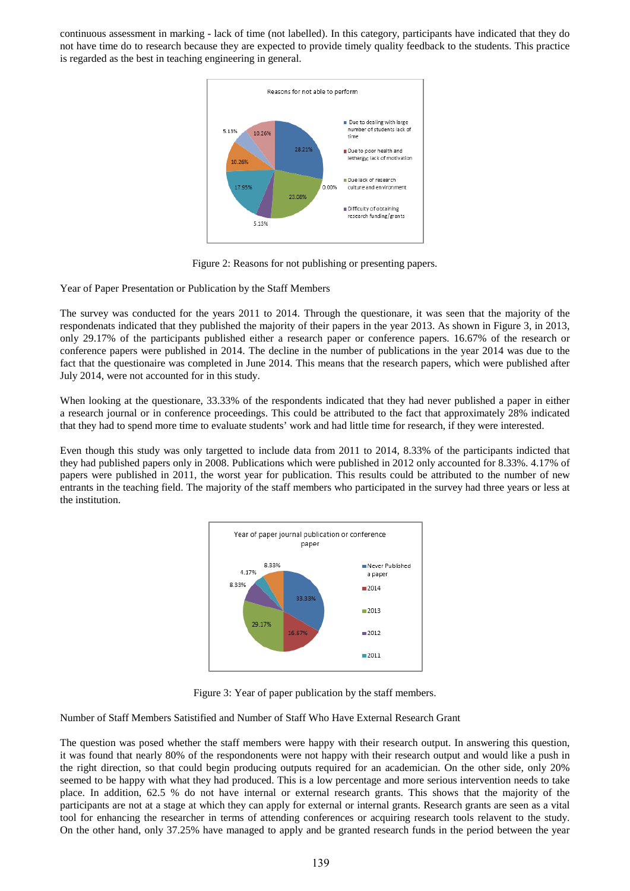continuous assessment in marking - lack of time (not labelled). In this category, participants have indicated that they do not have time do to research because they are expected to provide timely quality feedback to the students. This practice is regarded as the best in teaching engineering in general.



Figure 2: Reasons for not publishing or presenting papers.

Year of Paper Presentation or Publication by the Staff Members

The survey was conducted for the years 2011 to 2014. Through the questionare, it was seen that the majority of the respondenats indicated that they published the majority of their papers in the year 2013. As shown in Figure 3, in 2013, only 29.17% of the participants published either a research paper or conference papers. 16.67% of the research or conference papers were published in 2014. The decline in the number of publications in the year 2014 was due to the fact that the questionaire was completed in June 2014. This means that the research papers, which were published after July 2014, were not accounted for in this study.

When looking at the questionare, 33.33% of the respondents indicated that they had never published a paper in either a research journal or in conference proceedings. This could be attributed to the fact that approximately 28% indicated that they had to spend more time to evaluate students' work and had little time for research, if they were interested.

Even though this study was only targetted to include data from 2011 to 2014, 8.33% of the participants indicted that they had published papers only in 2008. Publications which were published in 2012 only accounted for 8.33%. 4.17% of papers were published in 2011, the worst year for publication. This results could be attributed to the number of new entrants in the teaching field. The majority of the staff members who participated in the survey had three years or less at the institution.



Figure 3: Year of paper publication by the staff members.

Number of Staff Members Satistified and Number of Staff Who Have External Research Grant

The question was posed whether the staff members were happy with their research output. In answering this question, it was found that nearly 80% of the respondonents were not happy with their research output and would like a push in the right direction, so that could begin producing outputs required for an academician. On the other side, only 20% seemed to be happy with what they had produced. This is a low percentage and more serious intervention needs to take place. In addition, 62.5 % do not have internal or external research grants. This shows that the majority of the participants are not at a stage at which they can apply for external or internal grants. Research grants are seen as a vital tool for enhancing the researcher in terms of attending conferences or acquiring research tools relavent to the study. On the other hand, only 37.25% have managed to apply and be granted research funds in the period between the year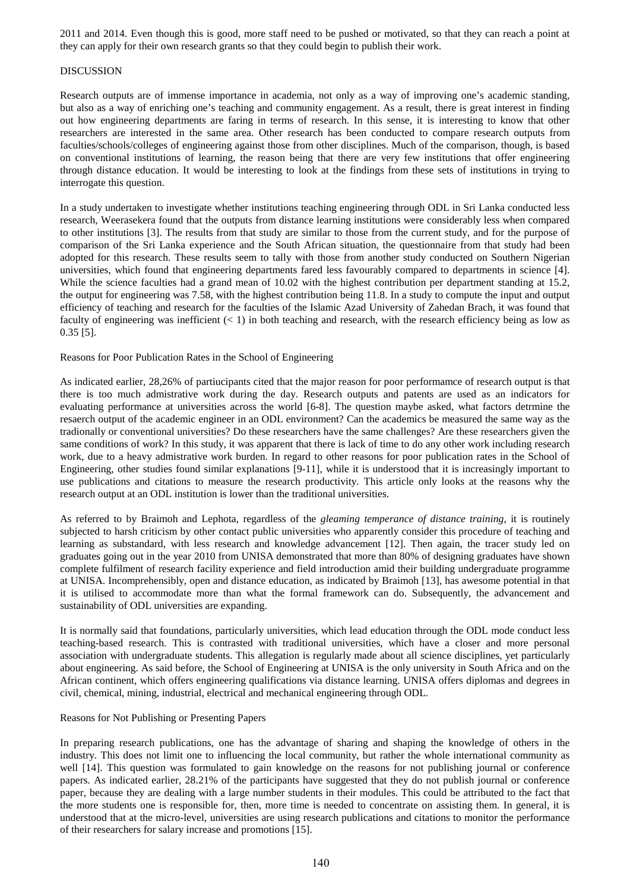2011 and 2014. Even though this is good, more staff need to be pushed or motivated, so that they can reach a point at they can apply for their own research grants so that they could begin to publish their work.

#### DISCUSSION

Research outputs are of immense importance in academia, not only as a way of improving one's academic standing, but also as a way of enriching one's teaching and community engagement. As a result, there is great interest in finding out how engineering departments are faring in terms of research. In this sense, it is interesting to know that other researchers are interested in the same area. Other research has been conducted to compare research outputs from faculties/schools/colleges of engineering against those from other disciplines. Much of the comparison, though, is based on conventional institutions of learning, the reason being that there are very few institutions that offer engineering through distance education. It would be interesting to look at the findings from these sets of institutions in trying to interrogate this question.

In a study undertaken to investigate whether institutions teaching engineering through ODL in Sri Lanka conducted less research, Weerasekera found that the outputs from distance learning institutions were considerably less when compared to other institutions [3]. The results from that study are similar to those from the current study, and for the purpose of comparison of the Sri Lanka experience and the South African situation, the questionnaire from that study had been adopted for this research. These results seem to tally with those from another study conducted on Southern Nigerian universities, which found that engineering departments fared less favourably compared to departments in science [4]. While the science faculties had a grand mean of 10.02 with the highest contribution per department standing at 15.2, the output for engineering was 7.58, with the highest contribution being 11.8. In a study to compute the input and output efficiency of teaching and research for the faculties of the Islamic Azad University of Zahedan Brach, it was found that faculty of engineering was inefficient  $(< 1$ ) in both teaching and research, with the research efficiency being as low as 0.35 [5].

#### Reasons for Poor Publication Rates in the School of Engineering

As indicated earlier, 28,26% of partiucipants cited that the major reason for poor performamce of research output is that there is too much admistrative work during the day. Research outputs and patents are used as an indicators for evaluating performance at universities across the world [6-8]. The question maybe asked, what factors detrmine the resaerch output of the academic engineer in an ODL environment? Can the academics be measured the same way as the tradionally or conventional universities? Do these researchers have the same challenges? Are these researchers given the same conditions of work? In this study, it was apparent that there is lack of time to do any other work including research work, due to a heavy admistrative work burden. In regard to other reasons for poor publication rates in the School of Engineering, other studies found similar explanations [9-11], while it is understood that it is increasingly important to use publications and citations to measure the research productivity. This article only looks at the reasons why the research output at an ODL institution is lower than the traditional universities.

As referred to by Braimoh and Lephota, regardless of the *gleaming temperance of distance training*, it is routinely subjected to harsh criticism by other contact public universities who apparently consider this procedure of teaching and learning as substandard, with less research and knowledge advancement [12]. Then again, the tracer study led on graduates going out in the year 2010 from UNISA demonstrated that more than 80% of designing graduates have shown complete fulfilment of research facility experience and field introduction amid their building undergraduate programme at UNISA. Incomprehensibly, open and distance education, as indicated by Braimoh [13], has awesome potential in that it is utilised to accommodate more than what the formal framework can do. Subsequently, the advancement and sustainability of ODL universities are expanding.

It is normally said that foundations, particularly universities, which lead education through the ODL mode conduct less teaching-based research. This is contrasted with traditional universities, which have a closer and more personal association with undergraduate students. This allegation is regularly made about all science disciplines, yet particularly about engineering. As said before, the School of Engineering at UNISA is the only university in South Africa and on the African continent, which offers engineering qualifications via distance learning. UNISA offers diplomas and degrees in civil, chemical, mining, industrial, electrical and mechanical engineering through ODL.

#### Reasons for Not Publishing or Presenting Papers

In preparing research publications, one has the advantage of sharing and shaping the knowledge of others in the industry. This does not limit one to influencing the local community, but rather the whole international community as well [14]. This question was formulated to gain knowledge on the reasons for not publishing journal or conference papers. As indicated earlier, 28.21% of the participants have suggested that they do not publish journal or conference paper, because they are dealing with a large number students in their modules. This could be attributed to the fact that the more students one is responsible for, then, more time is needed to concentrate on assisting them. In general, it is understood that at the micro-level, universities are using research publications and citations to monitor the performance of their researchers for salary increase and promotions [15].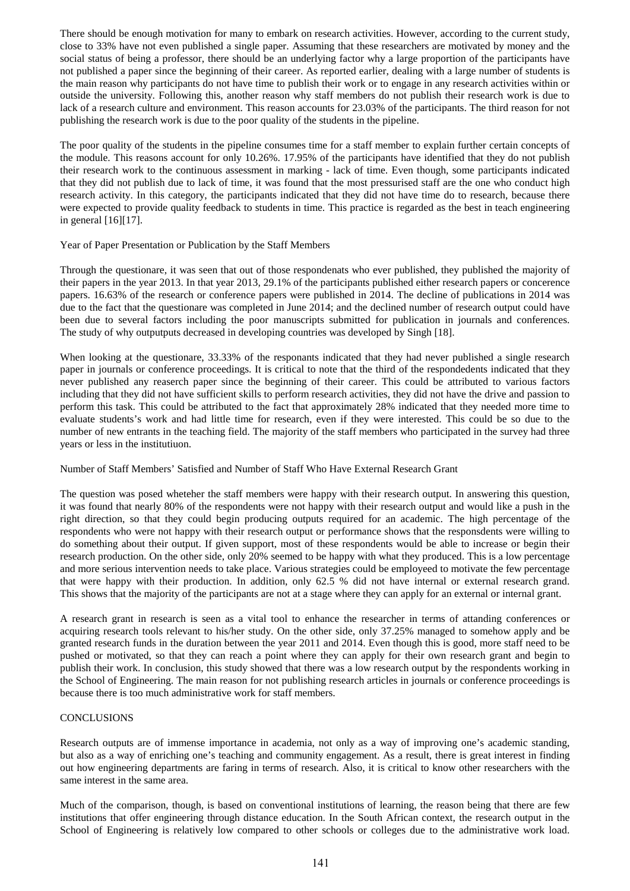There should be enough motivation for many to embark on research activities. However, according to the current study, close to 33% have not even published a single paper. Assuming that these researchers are motivated by money and the social status of being a professor, there should be an underlying factor why a large proportion of the participants have not published a paper since the beginning of their career. As reported earlier, dealing with a large number of students is the main reason why participants do not have time to publish their work or to engage in any research activities within or outside the university. Following this, another reason why staff members do not publish their research work is due to lack of a research culture and environment. This reason accounts for 23.03% of the participants. The third reason for not publishing the research work is due to the poor quality of the students in the pipeline.

The poor quality of the students in the pipeline consumes time for a staff member to explain further certain concepts of the module. This reasons account for only 10.26%. 17.95% of the participants have identified that they do not publish their research work to the continuous assessment in marking - lack of time. Even though, some participants indicated that they did not publish due to lack of time, it was found that the most pressurised staff are the one who conduct high research activity. In this category, the participants indicated that they did not have time do to research, because there were expected to provide quality feedback to students in time. This practice is regarded as the best in teach engineering in general [16][17].

#### Year of Paper Presentation or Publication by the Staff Members

Through the questionare, it was seen that out of those respondenats who ever published, they published the majority of their papers in the year 2013. In that year 2013, 29.1% of the participants published either research papers or concerence papers. 16.63% of the research or conference papers were published in 2014. The decline of publications in 2014 was due to the fact that the questionare was completed in June 2014; and the declined number of research output could have been due to several factors including the poor manuscripts submitted for publication in journals and conferences. The study of why outputputs decreased in developing countries was developed by Singh [18].

When looking at the questionare, 33.33% of the responants indicated that they had never published a single research paper in journals or conference proceedings. It is critical to note that the third of the respondedents indicated that they never published any reaserch paper since the beginning of their career. This could be attributed to various factors including that they did not have sufficient skills to perform research activities, they did not have the drive and passion to perform this task. This could be attributed to the fact that approximately 28% indicated that they needed more time to evaluate students's work and had little time for research, even if they were interested. This could be so due to the number of new entrants in the teaching field. The majority of the staff members who participated in the survey had three years or less in the institutiuon.

## Number of Staff Members' Satisfied and Number of Staff Who Have External Research Grant

The question was posed wheteher the staff members were happy with their research output. In answering this question, it was found that nearly 80% of the respondents were not happy with their research output and would like a push in the right direction, so that they could begin producing outputs required for an academic. The high percentage of the respondents who were not happy with their research output or performance shows that the responsdents were willing to do something about their output. If given support, most of these respondents would be able to increase or begin their research production. On the other side, only 20% seemed to be happy with what they produced. This is a low percentage and more serious intervention needs to take place. Various strategies could be employeed to motivate the few percentage that were happy with their production. In addition, only 62.5 % did not have internal or external research grand. This shows that the majority of the participants are not at a stage where they can apply for an external or internal grant.

A research grant in research is seen as a vital tool to enhance the researcher in terms of attanding conferences or acquiring research tools relevant to his/her study. On the other side, only 37.25% managed to somehow apply and be granted research funds in the duration between the year 2011 and 2014. Even though this is good, more staff need to be pushed or motivated, so that they can reach a point where they can apply for their own research grant and begin to publish their work. In conclusion, this study showed that there was a low research output by the respondents working in the School of Engineering. The main reason for not publishing research articles in journals or conference proceedings is because there is too much administrative work for staff members.

## **CONCLUSIONS**

Research outputs are of immense importance in academia, not only as a way of improving one's academic standing, but also as a way of enriching one's teaching and community engagement. As a result, there is great interest in finding out how engineering departments are faring in terms of research. Also, it is critical to know other researchers with the same interest in the same area.

Much of the comparison, though, is based on conventional institutions of learning, the reason being that there are few institutions that offer engineering through distance education. In the South African context, the research output in the School of Engineering is relatively low compared to other schools or colleges due to the administrative work load.